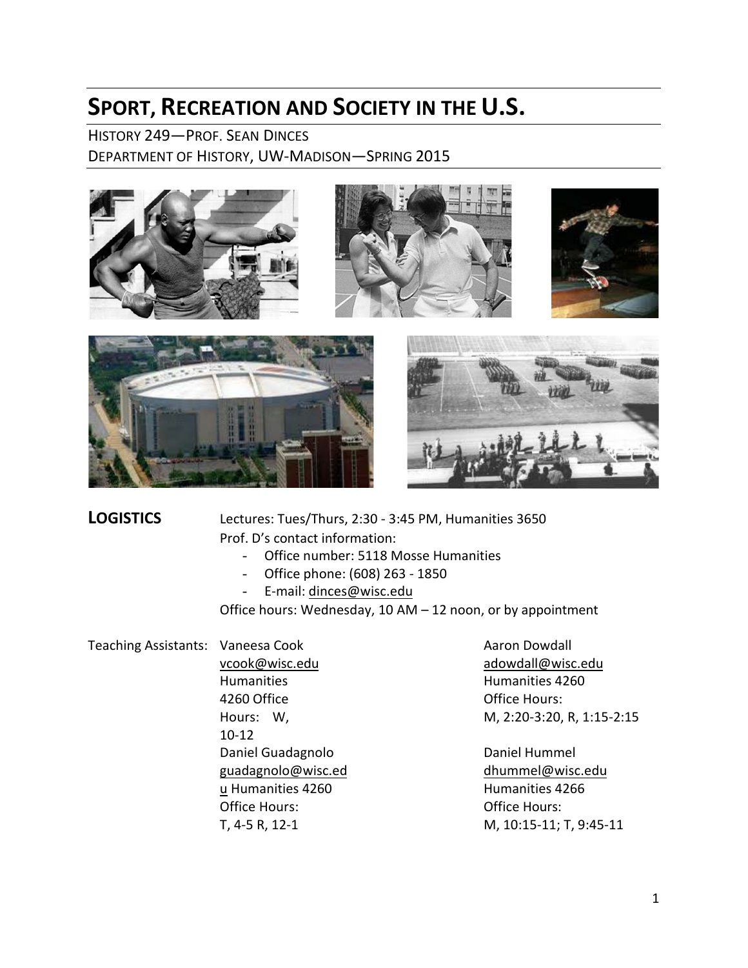# **SPORT, RECREATION AND SOCIETY IN THE U.S.**

HISTORY 249—PROF. SEAN DINCES DEPARTMENT OF HISTORY, UW-MADISON—SPRING 2015



**LOGISTICS** Lectures: Tues/Thurs, 2:30 - 3:45 PM, Humanities 3650 Prof. D's contact information:

- Office number: 5118 Mosse Humanities
- Office phone: (608) 263 1850
- E-mail: [dinces@wisc.edu](mailto:dinces@wisc.edu)

Office hours: Wednesday, 10 AM – 12 noon, or by appointment

Teaching Assistants: Vaneesa Cook

[vcook@wisc.edu](mailto:vcook@wisc.edu) Humanities 4260 Office Hours: W, 10-12 Daniel Guadagnolo [guadagnolo@wisc.ed](mailto:guadagnolo@wisc.edu) u Humanities 4260 Office Hours: T, 4-5 R, 12-1

Aaron Dowdall [adowdall@wisc.edu](mailto:adowdall@wisc.edu)  Humanities 4260 Office Hours: M, 2:20-3:20, R, 1:15-2:15

Daniel Hummel [dhummel@wisc.edu](mailto:dhummel@wisc.edu) Humanities 4266 Office Hours: M, 10:15-11; T, 9:45-11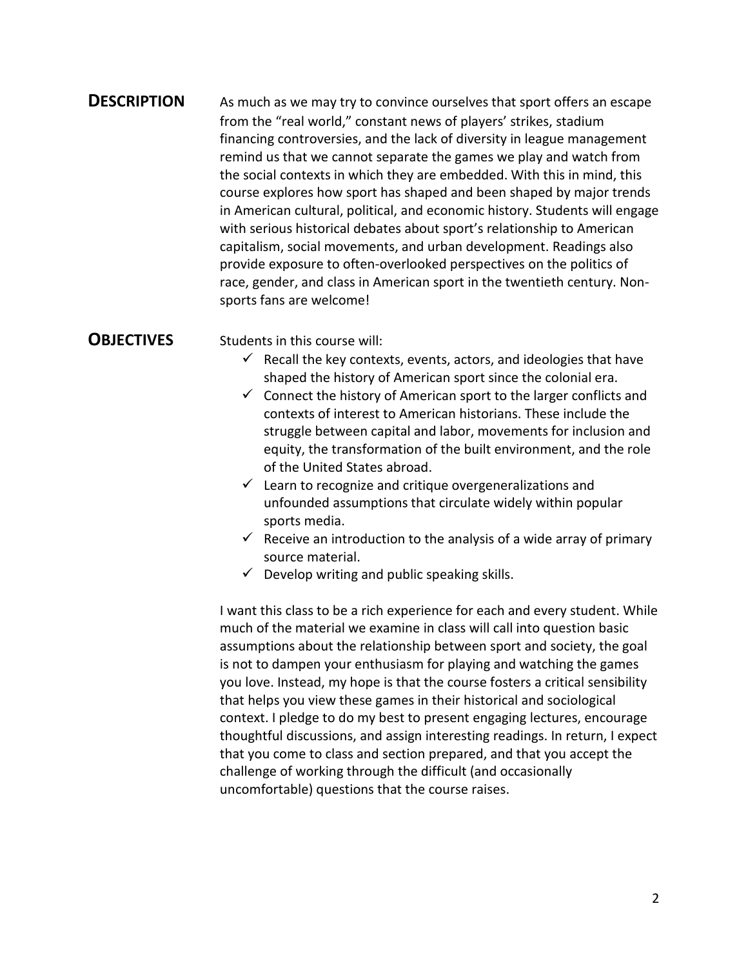#### **DESCRIPTION** As much as we may try to convince ourselves that sport offers an escape from the "real world," constant news of players' strikes, stadium financing controversies, and the lack of diversity in league management remind us that we cannot separate the games we play and watch from the social contexts in which they are embedded. With this in mind, this course explores how sport has shaped and been shaped by major trends in American cultural, political, and economic history. Students will engage with serious historical debates about sport's relationship to American capitalism, social movements, and urban development. Readings also provide exposure to often-overlooked perspectives on the politics of race, gender, and class in American sport in the twentieth century. Nonsports fans are welcome!

**OBJECTIVES** Students in this course will:

- $\checkmark$  Recall the key contexts, events, actors, and ideologies that have shaped the history of American sport since the colonial era.
- $\checkmark$  Connect the history of American sport to the larger conflicts and contexts of interest to American historians. These include the struggle between capital and labor, movements for inclusion and equity, the transformation of the built environment, and the role of the United States abroad.
- $\checkmark$  Learn to recognize and critique overgeneralizations and unfounded assumptions that circulate widely within popular sports media.
- $\checkmark$  Receive an introduction to the analysis of a wide array of primary source material.
- $\checkmark$  Develop writing and public speaking skills.

I want this class to be a rich experience for each and every student. While much of the material we examine in class will call into question basic assumptions about the relationship between sport and society, the goal is not to dampen your enthusiasm for playing and watching the games you love. Instead, my hope is that the course fosters a critical sensibility that helps you view these games in their historical and sociological context. I pledge to do my best to present engaging lectures, encourage thoughtful discussions, and assign interesting readings. In return, I expect that you come to class and section prepared, and that you accept the challenge of working through the difficult (and occasionally uncomfortable) questions that the course raises.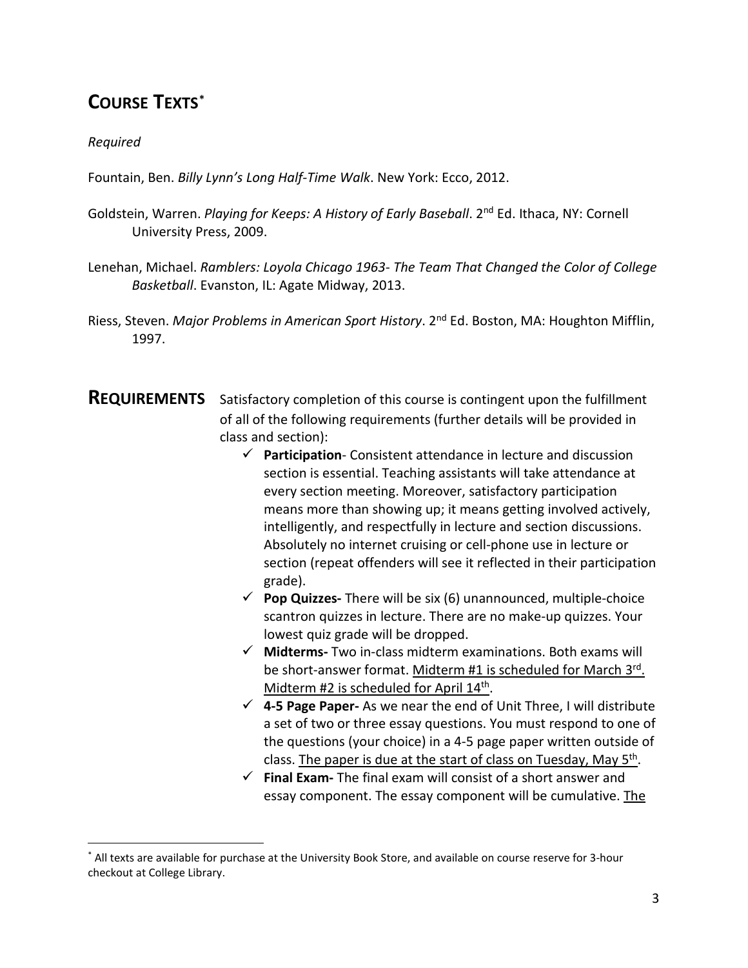## **COURSE TEXTS[\\*](#page-2-0)**

#### *Required*

Fountain, Ben. *Billy Lynn's Long Half-Time Walk*. New York: Ecco, 2012.

- Goldstein, Warren. *Playing for Keeps: A History of Early Baseball*. 2<sup>nd</sup> Ed. Ithaca, NY: Cornell University Press, 2009.
- Lenehan, Michael. *Ramblers: Loyola Chicago 1963- The Team That Changed the Color of College Basketball*. Evanston, IL: Agate Midway, 2013.
- Riess, Steven. *Major Problems in American Sport History*. 2nd Ed. Boston, MA: Houghton Mifflin, 1997.
- **REQUIREMENTS** Satisfactory completion of this course is contingent upon the fulfillment of all of the following requirements (further details will be provided in class and section):
	- **Participation** Consistent attendance in lecture and discussion section is essential. Teaching assistants will take attendance at every section meeting. Moreover, satisfactory participation means more than showing up; it means getting involved actively, intelligently, and respectfully in lecture and section discussions. Absolutely no internet cruising or cell-phone use in lecture or section (repeat offenders will see it reflected in their participation grade).
	- **Pop Quizzes-** There will be six (6) unannounced, multiple-choice scantron quizzes in lecture. There are no make-up quizzes. Your lowest quiz grade will be dropped.
	- **Midterms-** Two in-class midterm examinations. Both exams will be short-answer format. Midterm #1 is scheduled for March 3rd. Midterm #2 is scheduled for April 14<sup>th</sup>.
	- **4-5 Page Paper-** As we near the end of Unit Three, I will distribute a set of two or three essay questions. You must respond to one of the questions (your choice) in a 4-5 page paper written outside of class. The paper is due at the start of class on Tuesday, May  $5<sup>th</sup>$ .
	- **Final Exam-** The final exam will consist of a short answer and essay component. The essay component will be cumulative. The

<span id="page-2-0"></span><sup>\*</sup> All texts are available for purchase at the University Book Store, and available on course reserve for 3-hour checkout at College Library.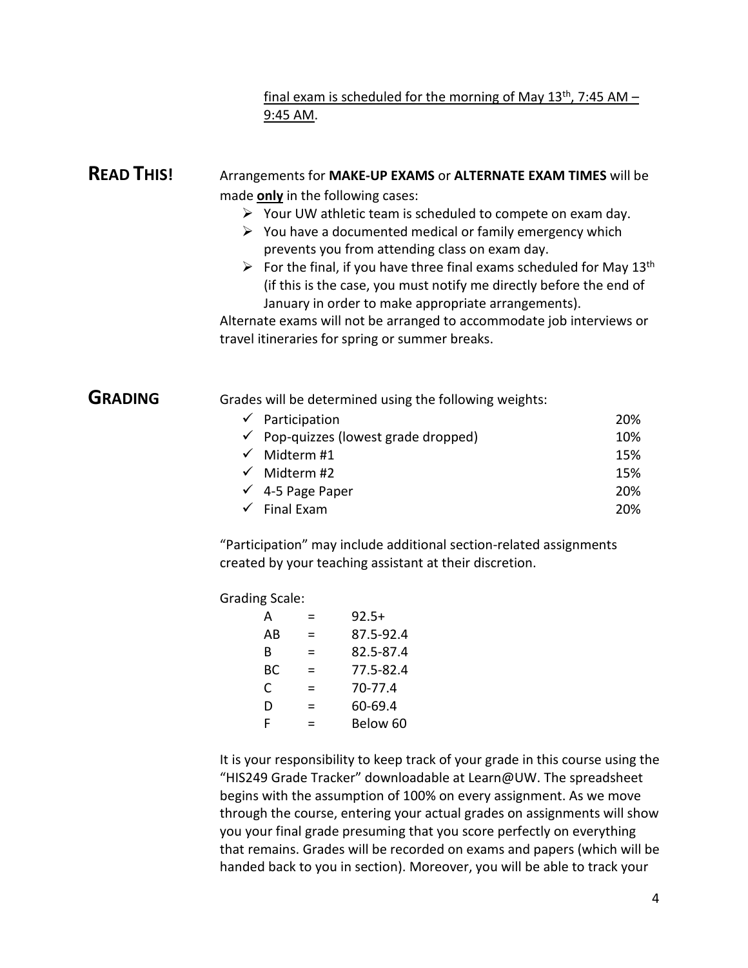#### final exam is scheduled for the morning of May  $13<sup>th</sup>$ , 7:45 AM – 9:45 AM.

### **READ THIS!** Arrangements for **MAKE-UP EXAMS** or **ALTERNATE EXAM TIMES** will be made **only** in the following cases:

- $\triangleright$  Your UW athletic team is scheduled to compete on exam day.
- $\triangleright$  You have a documented medical or family emergency which prevents you from attending class on exam day.
- $\triangleright$  For the final, if you have three final exams scheduled for May 13<sup>th</sup> (if this is the case, you must notify me directly before the end of January in order to make appropriate arrangements).

Alternate exams will not be arranged to accommodate job interviews or travel itineraries for spring or summer breaks.

**GRADING** Grades will be determined using the following weights:

| $\checkmark$ Participation                      | <b>20%</b> |
|-------------------------------------------------|------------|
| $\checkmark$ Pop-quizzes (lowest grade dropped) | 10%        |
| $\checkmark$ Midterm #1                         | 15%        |
| $\checkmark$ Midterm #2                         | 15%        |
| $\sqrt{4-5}$ Page Paper                         | 20%        |
| $\checkmark$ Final Exam                         | 20%        |

"Participation" may include additional section-related assignments created by your teaching assistant at their discretion.

Grading Scale:

| А  | = | $92.5+$   |
|----|---|-----------|
| AB | = | 87.5-92.4 |
| B  | = | 82.5-87.4 |
| ВC | = | 77.5-82.4 |
| C  | = | 70-77.4   |
| D  | = | 60-69.4   |
| F  | - | Below 60  |

It is your responsibility to keep track of your grade in this course using the "HIS249 Grade Tracker" downloadable at Learn@UW. The spreadsheet begins with the assumption of 100% on every assignment. As we move through the course, entering your actual grades on assignments will show you your final grade presuming that you score perfectly on everything that remains. Grades will be recorded on exams and papers (which will be handed back to you in section). Moreover, you will be able to track your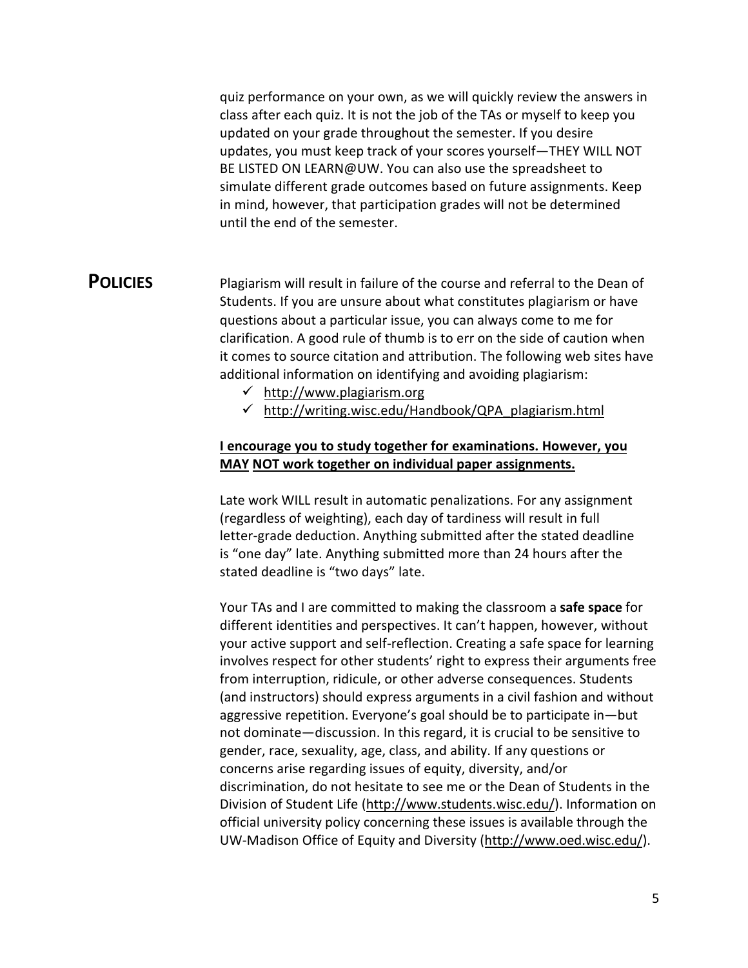quiz performance on your own, as we will quickly review the answers in class after each quiz. It is not the job of the TAs or myself to keep you updated on your grade throughout the semester. If you desire updates, you must keep track of your scores yourself—THEY WILL NOT BE LISTED ON LEARN@UW. You can also use the spreadsheet to simulate different grade outcomes based on future assignments. Keep in mind, however, that participation grades will not be determined until the end of the semester.

**POLICIES** Plagiarism will result in failure of the course and referral to the Dean of Students. If you are unsure about what constitutes plagiarism or have questions about a particular issue, you can always come to me for clarification. A good rule of thumb is to err on the side of caution when it comes to source citation and attribution. The following web sites have additional information on identifying and avoiding plagiarism:

- [http://www.plagiarism.org](http://www.plagiarism.org/)
- $\checkmark$  http://writing.wisc.edu/Handbook/QPA plagiarism.html

#### **I encourage you to study together for examinations. However, you MAY NOT work together on individual paper assignments.**

Late work WILL result in automatic penalizations. For any assignment (regardless of weighting), each day of tardiness will result in full letter-grade deduction. Anything submitted after the stated deadline is "one day" late. Anything submitted more than 24 hours after the stated deadline is "two days" late.

Your TAs and I are committed to making the classroom a **safe space** for different identities and perspectives. It can't happen, however, without your active support and self-reflection. Creating a safe space for learning involves respect for other students' right to express their arguments free from interruption, ridicule, or other adverse consequences. Students (and instructors) should express arguments in a civil fashion and without aggressive repetition. Everyone's goal should be to participate in—but not dominate—discussion. In this regard, it is crucial to be sensitive to gender, race, sexuality, age, class, and ability. If any questions or concerns arise regarding issues of equity, diversity, and/or discrimination, do not hesitate to see me or the Dean of Students in the Division of S[tudent Life \(http://www.students](http://www.students.wisc.edu/).wisc.edu/). Information on official university policy concerning these issues is available through the UW-Madison Office of Equity and Dive[rsity \(http://www.oed.wisc.e](http://www.oed.wisc.edu/)du/).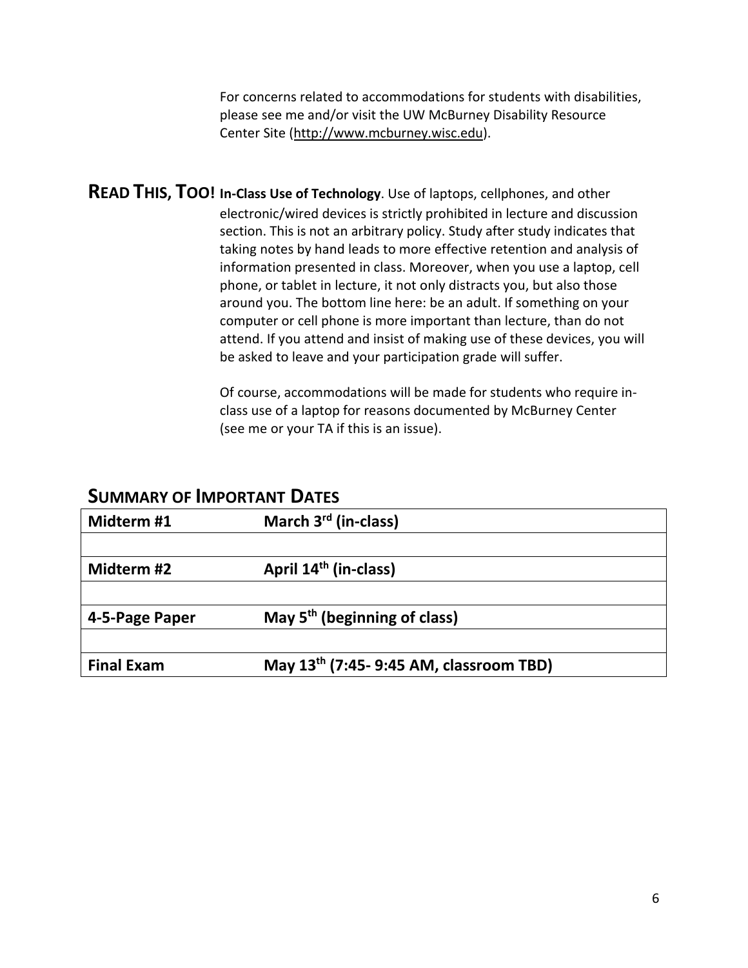For concerns related to accommodations for students with disabilities, please see me and/or visit the UW McBurney Disability Resource Cen[ter Site \(http://www.mcburney.wi](http://www.mcburney.wisc.edu/)sc.edu).

**READ THIS, TOO! In-Class Use of Technology**. Use of laptops, cellphones, and other electronic/wired devices is strictly prohibited in lecture and discussion section. This is not an arbitrary policy. Study after study indicates that taking notes by hand leads to more effective retention and analysis of information presented in class. Moreover, when you use a laptop, cell phone, or tablet in lecture, it not only distracts you, but also those around you. The bottom line here: be an adult. If something on your computer or cell phone is more important than lecture, than do not attend. If you attend and insist of making use of these devices, you will be asked to leave and your participation grade will suffer.

> Of course, accommodations will be made for students who require inclass use of a laptop for reasons documented by McBurney Center (see me or your TA if this is an issue).

| Midterm #1        | March 3 <sup>rd</sup> (in-class)                    |  |
|-------------------|-----------------------------------------------------|--|
|                   |                                                     |  |
| Midterm #2        | April 14 <sup>th</sup> (in-class)                   |  |
|                   |                                                     |  |
| 4-5-Page Paper    | May $5th$ (beginning of class)                      |  |
|                   |                                                     |  |
| <b>Final Exam</b> | May 13 <sup>th</sup> (7:45- 9:45 AM, classroom TBD) |  |

#### **SUMMARY OF IMPORTANT DATES**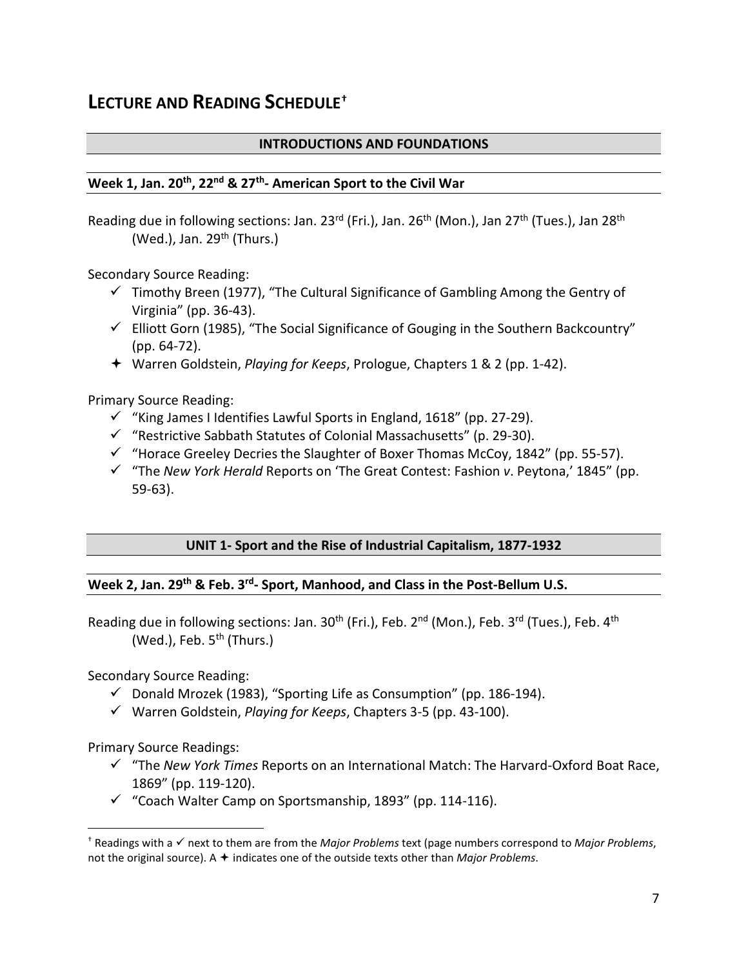## **LECTURE AND READING SCHEDULE[†](#page-6-0)**

#### **INTRODUCTIONS AND FOUNDATIONS**

#### **Week 1, Jan. 20th, 22nd & 27th- American Sport to the Civil War**

Reading due in following sections: Jan. 23<sup>rd</sup> (Fri.), Jan. 26<sup>th</sup> (Mon.), Jan 27<sup>th</sup> (Tues.), Jan 28<sup>th</sup> (Wed.), Jan.  $29<sup>th</sup>$  (Thurs.)

Secondary Source Reading:

- $\checkmark$  Timothy Breen (1977), "The Cultural Significance of Gambling Among the Gentry of Virginia" (pp. 36-43).
- $\checkmark$  Elliott Gorn (1985), "The Social Significance of Gouging in the Southern Backcountry" (pp. 64-72).
- Warren Goldstein, *Playing for Keeps*, Prologue, Chapters 1 & 2 (pp. 1-42).

Primary Source Reading:

- $\checkmark$  "King James I Identifies Lawful Sports in England, 1618" (pp. 27-29).
- $\checkmark$  "Restrictive Sabbath Statutes of Colonial Massachusetts" (p. 29-30).
- $\checkmark$  "Horace Greeley Decries the Slaughter of Boxer Thomas McCoy, 1842" (pp. 55-57).
- "The *New York Herald* Reports on 'The Great Contest: Fashion *v*. Peytona,' 1845" (pp. 59-63).

#### **UNIT 1- Sport and the Rise of Industrial Capitalism, 1877-1932**

#### **Week 2, Jan. 29th & Feb. 3rd- Sport, Manhood, and Class in the Post-Bellum U.S.**

Reading due in following sections: Jan.  $30<sup>th</sup>$  (Fri.), Feb.  $2<sup>nd</sup>$  (Mon.), Feb.  $3<sup>rd</sup>$  (Tues.), Feb.  $4<sup>th</sup>$ (Wed.), Feb.  $5<sup>th</sup>$  (Thurs.)

Secondary Source Reading:

- $\checkmark$  Donald Mrozek (1983), "Sporting Life as Consumption" (pp. 186-194).
- Warren Goldstein, *Playing for Keeps*, Chapters 3-5 (pp. 43-100).

Primary Source Readings:

- "The *New York Times* Reports on an International Match: The Harvard-Oxford Boat Race, 1869" (pp. 119-120).
- $\checkmark$  "Coach Walter Camp on Sportsmanship, 1893" (pp. 114-116).

<span id="page-6-0"></span><sup>†</sup> Readings with a √ next to them are from the *Major Problems* text (page numbers correspond to *Major Problems*, not the original source). A  $\triangle$  indicates one of the outside texts other than *Major Problems*.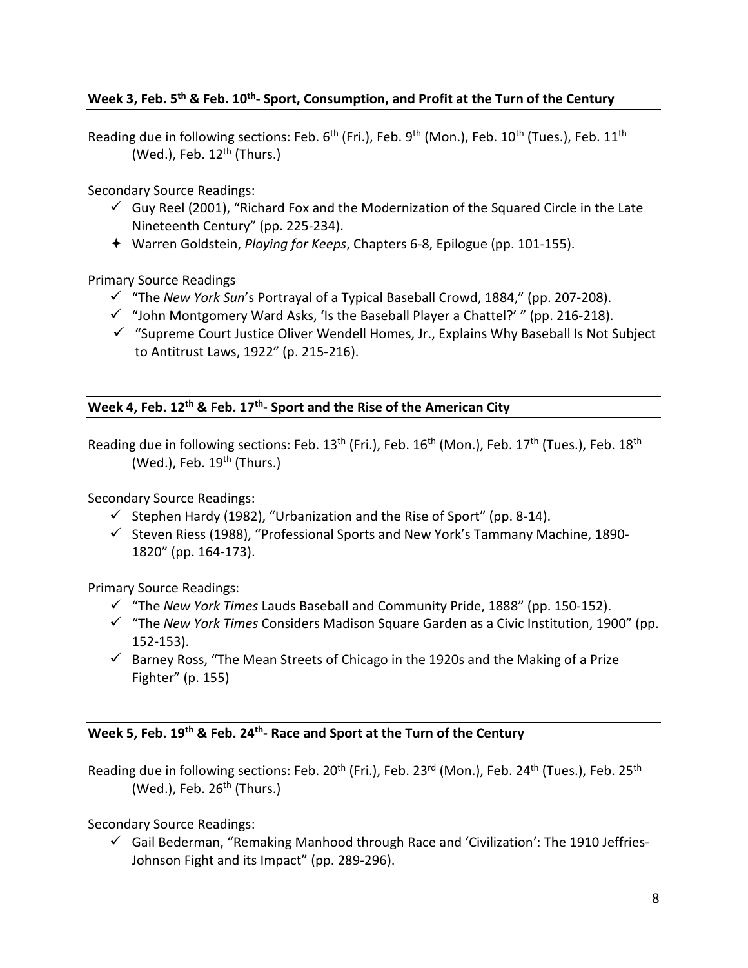#### **Week 3, Feb. 5th & Feb. 10th- Sport, Consumption, and Profit at the Turn of the Century**

Reading due in following sections: Feb. 6<sup>th</sup> (Fri.), Feb. 9<sup>th</sup> (Mon.), Feb. 10<sup>th</sup> (Tues.), Feb. 11<sup>th</sup> (Wed.), Feb.  $12<sup>th</sup>$  (Thurs.)

Secondary Source Readings:

- $\checkmark$  Guy Reel (2001), "Richard Fox and the Modernization of the Squared Circle in the Late Nineteenth Century" (pp. 225-234).
- Warren Goldstein, *Playing for Keeps*, Chapters 6-8, Epilogue (pp. 101-155).

Primary Source Readings

- "The *New York Sun*'s Portrayal of a Typical Baseball Crowd, 1884," (pp. 207-208).
- $\checkmark$  "John Montgomery Ward Asks, 'Is the Baseball Player a Chattel?' " (pp. 216-218).
- $\checkmark$  "Supreme Court Justice Oliver Wendell Homes, Jr., Explains Why Baseball Is Not Subject to Antitrust Laws, 1922" (p. 215-216).

**Week 4, Feb. 12th & Feb. 17th- Sport and the Rise of the American City**

Reading due in following sections: Feb. 13<sup>th</sup> (Fri.), Feb. 16<sup>th</sup> (Mon.), Feb. 17<sup>th</sup> (Tues.), Feb. 18<sup>th</sup> (Wed.), Feb.  $19<sup>th</sup>$  (Thurs.)

Secondary Source Readings:

- $\checkmark$  Stephen Hardy (1982), "Urbanization and the Rise of Sport" (pp. 8-14).
- $\checkmark$  Steven Riess (1988), "Professional Sports and New York's Tammany Machine, 1890-1820" (pp. 164-173).

Primary Source Readings:

- "The *New York Times* Lauds Baseball and Community Pride, 1888" (pp. 150-152).
- "The *New York Times* Considers Madison Square Garden as a Civic Institution, 1900" (pp. 152-153).
- $\checkmark$  Barney Ross, "The Mean Streets of Chicago in the 1920s and the Making of a Prize Fighter" (p. 155)

#### **Week 5, Feb. 19th & Feb. 24th- Race and Sport at the Turn of the Century**

Reading due in following sections: Feb. 20<sup>th</sup> (Fri.), Feb. 23<sup>rd</sup> (Mon.), Feb. 24<sup>th</sup> (Tues.), Feb. 25<sup>th</sup> (Wed.), Feb.  $26<sup>th</sup>$  (Thurs.)

Secondary Source Readings:

 $\checkmark$  Gail Bederman, "Remaking Manhood through Race and 'Civilization': The 1910 Jeffries-Johnson Fight and its Impact" (pp. 289-296).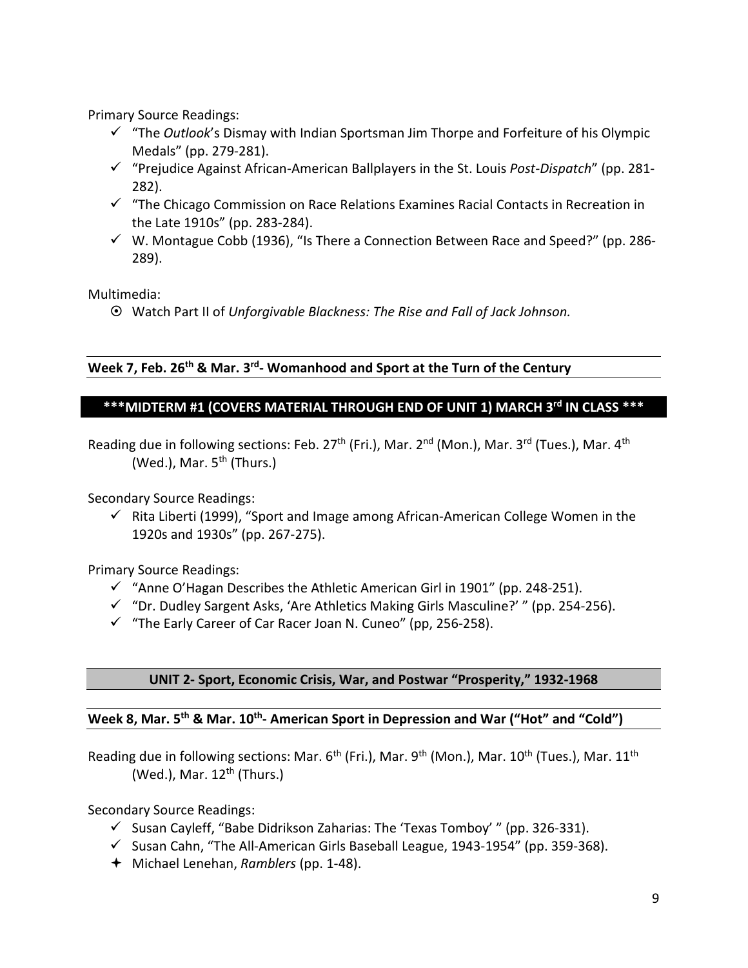Primary Source Readings:

- "The *Outlook*'s Dismay with Indian Sportsman Jim Thorpe and Forfeiture of his Olympic Medals" (pp. 279-281).
- "Prejudice Against African-American Ballplayers in the St. Louis *Post-Dispatch*" (pp. 281- 282).
- $\checkmark$  "The Chicago Commission on Race Relations Examines Racial Contacts in Recreation in the Late 1910s" (pp. 283-284).
- $\checkmark$  W. Montague Cobb (1936), "Is There a Connection Between Race and Speed?" (pp. 286-289).

Multimedia:

Watch Part II of *Unforgivable Blackness: The Rise and Fall of Jack Johnson.*

#### **Week 7, Feb. 26th & Mar. 3rd- Womanhood and Sport at the Turn of the Century**

#### **\*\*\*MIDTERM #1 (COVERS MATERIAL THROUGH END OF UNIT 1) MARCH 3rd IN CLASS \*\*\***

Reading due in following sections: Feb. 27<sup>th</sup> (Fri.), Mar. 2<sup>nd</sup> (Mon.), Mar. 3<sup>rd</sup> (Tues.), Mar. 4<sup>th</sup> (Wed.), Mar.  $5<sup>th</sup>$  (Thurs.)

Secondary Source Readings:

 $\checkmark$  Rita Liberti (1999), "Sport and Image among African-American College Women in the 1920s and 1930s" (pp. 267-275).

Primary Source Readings:

- $\checkmark$  "Anne O'Hagan Describes the Athletic American Girl in 1901" (pp. 248-251).
- $\checkmark$  "Dr. Dudley Sargent Asks, 'Are Athletics Making Girls Masculine?' " (pp. 254-256).
- $\checkmark$  "The Early Career of Car Racer Joan N. Cuneo" (pp, 256-258).

#### **UNIT 2- Sport, Economic Crisis, War, and Postwar "Prosperity," 1932-1968**

#### **Week 8, Mar. 5th & Mar. 10th- American Sport in Depression and War ("Hot" and "Cold")**

Reading due in following sections: Mar.  $6^{th}$  (Fri.), Mar.  $9^{th}$  (Mon.), Mar.  $10^{th}$  (Tues.), Mar.  $11^{th}$ (Wed.), Mar.  $12<sup>th</sup>$  (Thurs.)

Secondary Source Readings:

- $\checkmark$  Susan Cayleff, "Babe Didrikson Zaharias: The 'Texas Tomboy' " (pp. 326-331).
- $\checkmark$  Susan Cahn, "The All-American Girls Baseball League, 1943-1954" (pp. 359-368).
- Michael Lenehan, *Ramblers* (pp. 1-48).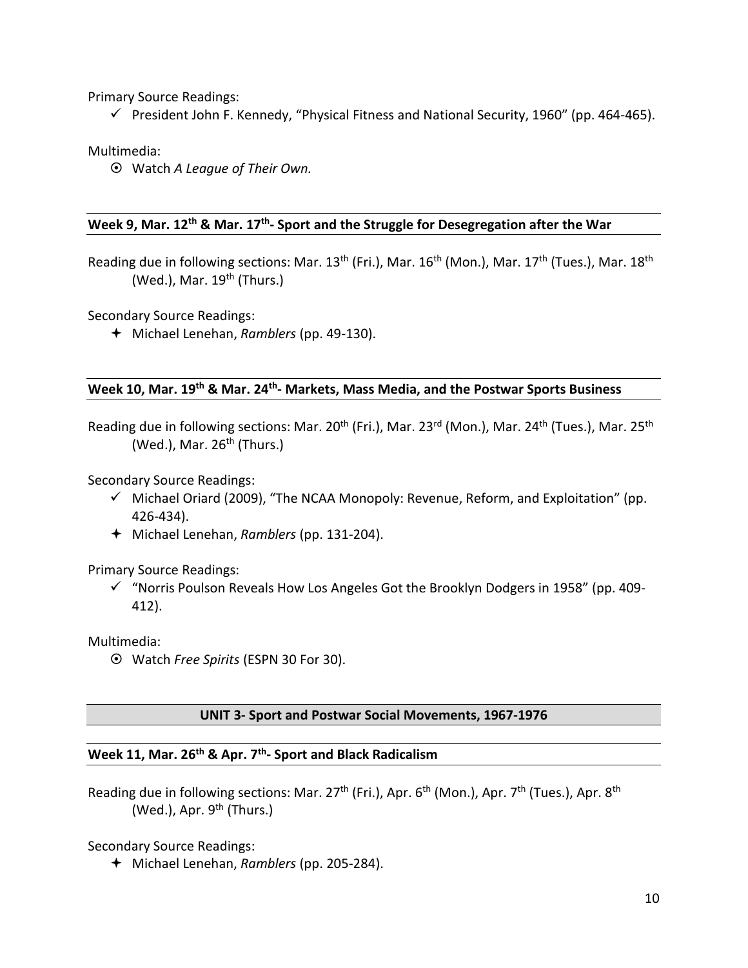Primary Source Readings:

 $\checkmark$  President John F. Kennedy, "Physical Fitness and National Security, 1960" (pp. 464-465).

Multimedia:

Watch *A League of Their Own.*

#### **Week 9, Mar. 12th & Mar. 17th- Sport and the Struggle for Desegregation after the War**

Reading due in following sections: Mar. 13<sup>th</sup> (Fri.), Mar. 16<sup>th</sup> (Mon.), Mar. 17<sup>th</sup> (Tues.), Mar. 18<sup>th</sup> (Wed.), Mar.  $19<sup>th</sup>$  (Thurs.)

Secondary Source Readings:

Michael Lenehan, *Ramblers* (pp. 49-130).

### **Week 10, Mar. 19th & Mar. 24th- Markets, Mass Media, and the Postwar Sports Business**

Reading due in following sections: Mar. 20<sup>th</sup> (Fri.), Mar. 23<sup>rd</sup> (Mon.), Mar. 24<sup>th</sup> (Tues.), Mar. 25<sup>th</sup> (Wed.), Mar.  $26<sup>th</sup>$  (Thurs.)

Secondary Source Readings:

- $\checkmark$  Michael Oriard (2009), "The NCAA Monopoly: Revenue, Reform, and Exploitation" (pp. 426-434).
- Michael Lenehan, *Ramblers* (pp. 131-204).

Primary Source Readings:

 $\checkmark$  "Norris Poulson Reveals How Los Angeles Got the Brooklyn Dodgers in 1958" (pp. 409-412).

Multimedia:

Watch *Free Spirits* (ESPN 30 For 30).

#### **UNIT 3- Sport and Postwar Social Movements, 1967-1976**

#### **Week 11, Mar. 26th & Apr. 7th- Sport and Black Radicalism**

Reading due in following sections: Mar.  $27<sup>th</sup>$  (Fri.), Apr. 6<sup>th</sup> (Mon.), Apr. 7<sup>th</sup> (Tues.), Apr. 8<sup>th</sup> (Wed.), Apr.  $9<sup>th</sup>$  (Thurs.)

Secondary Source Readings:

Michael Lenehan, *Ramblers* (pp. 205-284).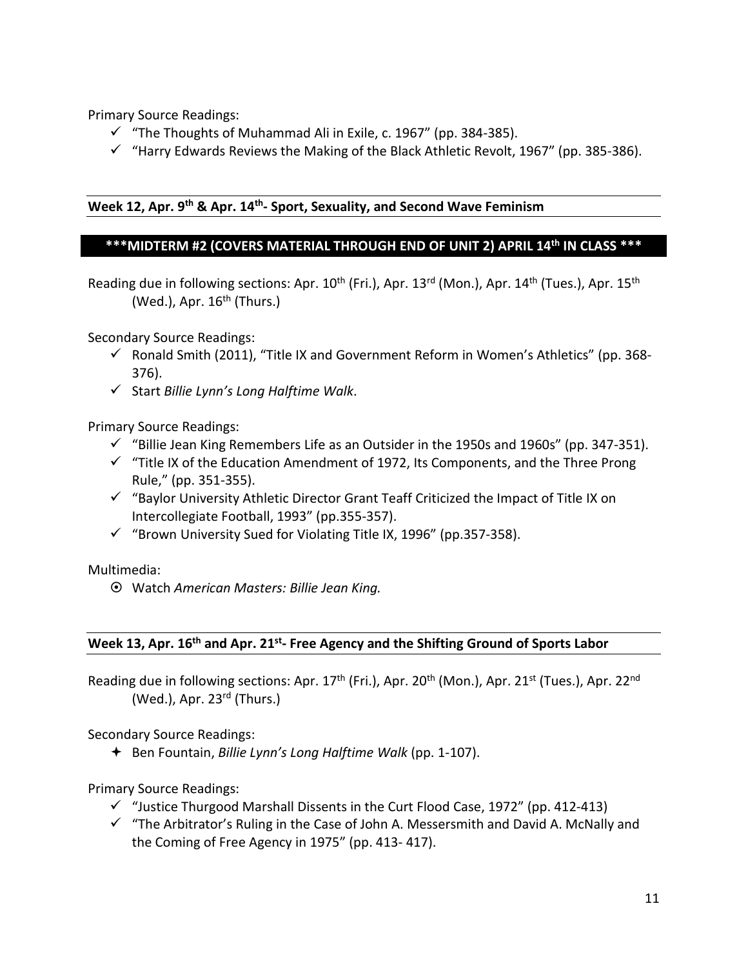Primary Source Readings:

- $\checkmark$  "The Thoughts of Muhammad Ali in Exile, c. 1967" (pp. 384-385).
- $\checkmark$  "Harry Edwards Reviews the Making of the Black Athletic Revolt, 1967" (pp. 385-386).

#### **Week 12, Apr. 9th & Apr. 14th- Sport, Sexuality, and Second Wave Feminism**

#### **\*\*\*MIDTERM #2 (COVERS MATERIAL THROUGH END OF UNIT 2) APRIL 14th IN CLASS \*\*\***

Reading due in following sections: Apr. 10<sup>th</sup> (Fri.), Apr. 13<sup>rd</sup> (Mon.), Apr. 14<sup>th</sup> (Tues.), Apr. 15<sup>th</sup> (Wed.), Apr.  $16<sup>th</sup>$  (Thurs.)

Secondary Source Readings:

- $\checkmark$  Ronald Smith (2011), "Title IX and Government Reform in Women's Athletics" (pp. 368-376).
- Start *Billie Lynn's Long Halftime Walk*.

Primary Source Readings:

- $\checkmark$  "Billie Jean King Remembers Life as an Outsider in the 1950s and 1960s" (pp. 347-351).
- $\checkmark$  "Title IX of the Education Amendment of 1972, Its Components, and the Three Prong Rule," (pp. 351-355).
- $\checkmark$  "Baylor University Athletic Director Grant Teaff Criticized the Impact of Title IX on Intercollegiate Football, 1993" (pp.355-357).
- $\checkmark$  "Brown University Sued for Violating Title IX, 1996" (pp.357-358).

Multimedia:

Watch *American Masters: Billie Jean King.*

#### **Week 13, Apr. 16th and Apr. 21st- Free Agency and the Shifting Ground of Sports Labor**

Reading due in following sections: Apr. 17<sup>th</sup> (Fri.), Apr. 20<sup>th</sup> (Mon.), Apr. 21<sup>st</sup> (Tues.), Apr. 22<sup>nd</sup> (Wed.), Apr. 23rd (Thurs.)

Secondary Source Readings:

Ben Fountain, *Billie Lynn's Long Halftime Walk* (pp. 1-107).

Primary Source Readings:

- $\checkmark$  "Justice Thurgood Marshall Dissents in the Curt Flood Case, 1972" (pp. 412-413)
- $\checkmark$  "The Arbitrator's Ruling in the Case of John A. Messersmith and David A. McNally and the Coming of Free Agency in 1975" (pp. 413- 417).